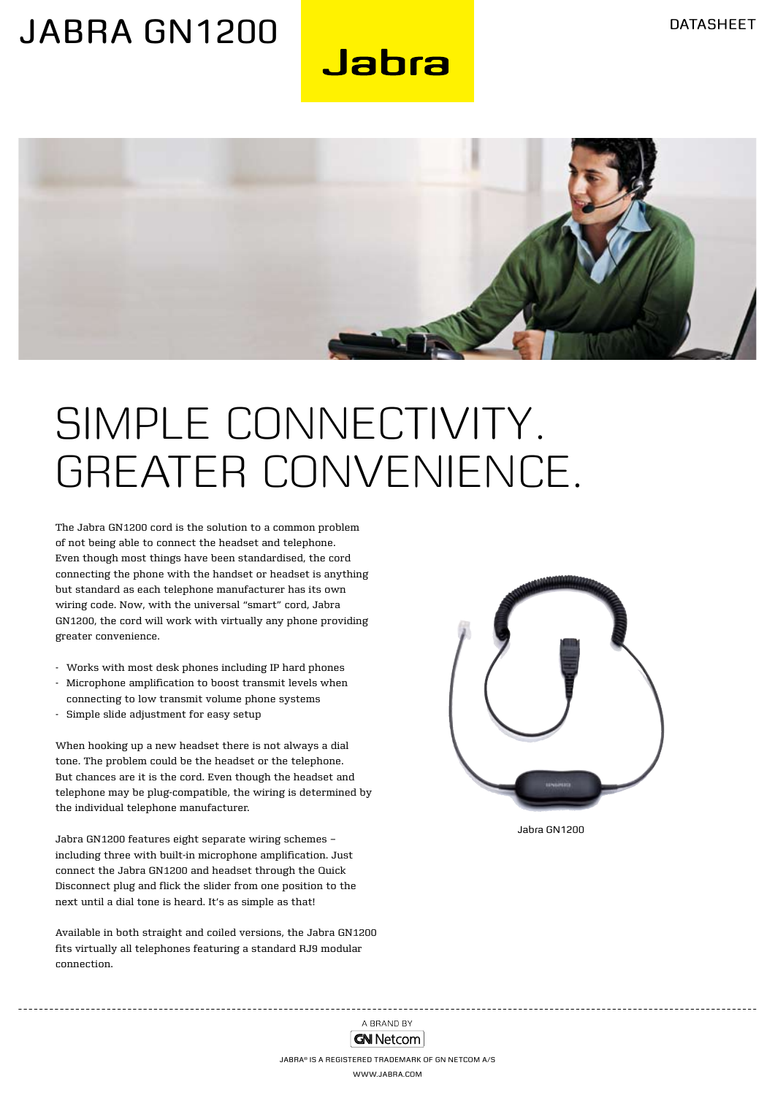### JABRA GN1200

Jabra



## SIMPLE CONNECTIVITY. Greater convenience.

The Jabra GN1200 cord is the solution to a common problem of not being able to connect the headset and telephone. Even though most things have been standardised, the cord connecting the phone with the handset or headset is anything but standard as each telephone manufacturer has its own wiring code. Now, with the universal "smart" cord, Jabra GN1200, the cord will work with virtually any phone providing greater convenience.

- Works with most desk phones including IP hard phones
- Microphone amplification to boost transmit levels when connecting to low transmit volume phone systems
- Simple slide adjustment for easy setup

When hooking up a new headset there is not always a dial tone. The problem could be the headset or the telephone. But chances are it is the cord. Even though the headset and telephone may be plug-compatible, the wiring is determined by the individual telephone manufacturer.

Jabra GN1200 features eight separate wiring schemes – including three with built-in microphone amplification. Just connect the Jabra GN1200 and headset through the Quick Disconnect plug and flick the slider from one position to the next until a dial tone is heard. It's as simple as that!

Available in both straight and coiled versions, the Jabra GN1200 fits virtually all telephones featuring a standard RJ9 modular connection.



Jabra GN1200

A BRAND BY **GN Netcom**